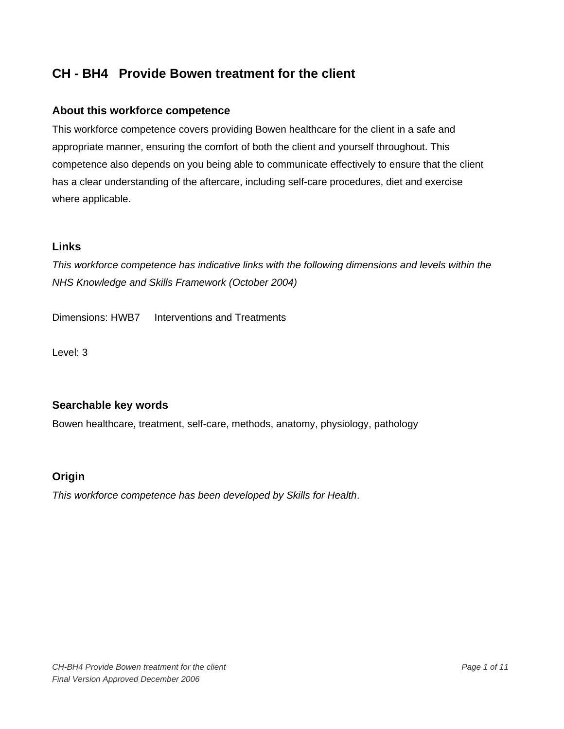# **About this workforce competence**

This workforce competence covers providing Bowen healthcare for the client in a safe and appropriate manner, ensuring the comfort of both the client and yourself throughout. This competence also depends on you being able to communicate effectively to ensure that the client has a clear understanding of the aftercare, including self-care procedures, diet and exercise where applicable.

# **Links**

*This workforce competence has indicative links with the following dimensions and levels within the NHS Knowledge and Skills Framework (October 2004)* 

Dimensions: HWB7 Interventions and Treatments

Level: 3

# **Searchable key words**

Bowen healthcare, treatment, self-care, methods, anatomy, physiology, pathology

## **Origin**

*This workforce competence has been developed by Skills for Health*.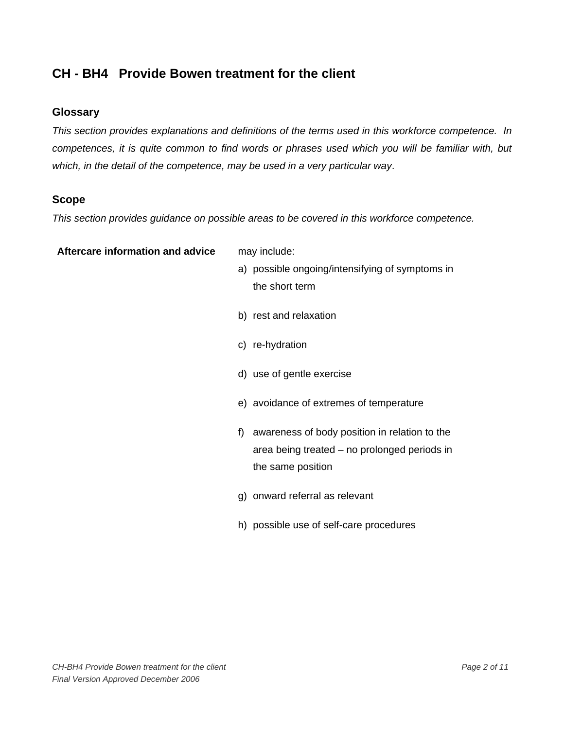## **Glossary**

*This section provides explanations and definitions of the terms used in this workforce competence. In competences, it is quite common to find words or phrases used which you will be familiar with, but which, in the detail of the competence, may be used in a very particular way*.

#### **Scope**

*This section provides guidance on possible areas to be covered in this workforce competence.* 

#### **Aftercare information and advice** may include:

- a) possible ongoing/intensifying of symptoms in the short term
- b) rest and relaxation
- c) re-hydration
- d) use of gentle exercise
- e) avoidance of extremes of temperature
- f) awareness of body position in relation to the area being treated – no prolonged periods in the same position
- g) onward referral as relevant
- h) possible use of self-care procedures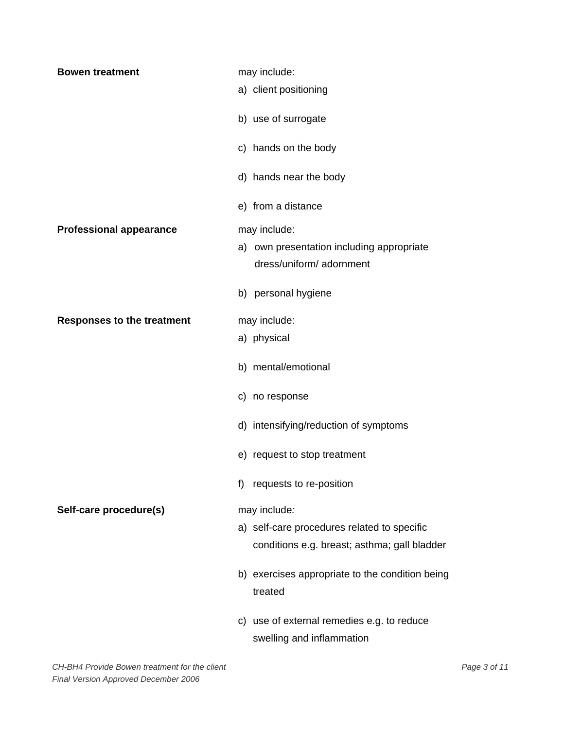| <b>Bowen treatment</b>            | may include:                                    |
|-----------------------------------|-------------------------------------------------|
|                                   | a) client positioning                           |
|                                   |                                                 |
|                                   | b) use of surrogate                             |
|                                   | c) hands on the body                            |
|                                   | d) hands near the body                          |
|                                   | e) from a distance                              |
| <b>Professional appearance</b>    | may include:                                    |
|                                   | a) own presentation including appropriate       |
|                                   | dress/uniform/ adornment                        |
|                                   | b) personal hygiene                             |
|                                   |                                                 |
| <b>Responses to the treatment</b> | may include:                                    |
|                                   | a) physical                                     |
|                                   | b) mental/emotional                             |
|                                   | c) no response                                  |
|                                   | d) intensifying/reduction of symptoms           |
|                                   | e) request to stop treatment                    |
|                                   | requests to re-position<br>f)                   |
| Self-care procedure(s)            | may include:                                    |
|                                   | a) self-care procedures related to specific     |
|                                   | conditions e.g. breast; asthma; gall bladder    |
|                                   | b) exercises appropriate to the condition being |
|                                   | treated                                         |
|                                   | c) use of external remedies e.g. to reduce      |
|                                   | swelling and inflammation                       |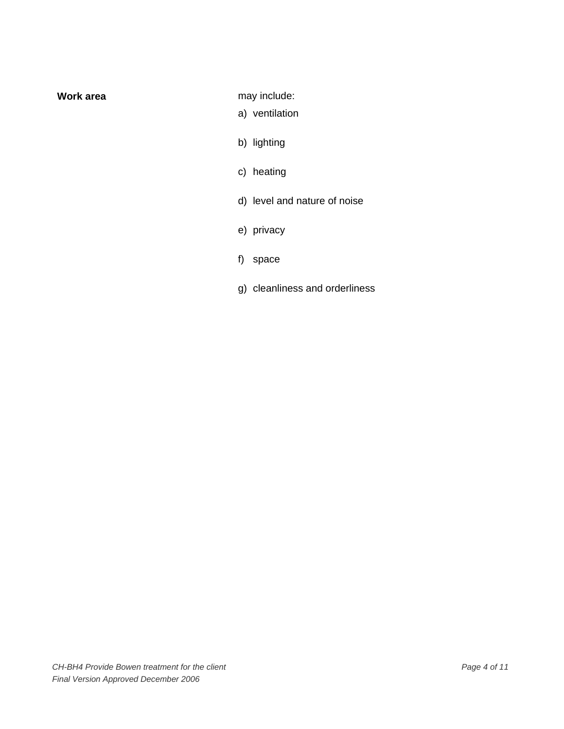**Work area may include:** 

- a) ventilation
- b) lighting
- c) heating
- d) level and nature of noise
- e) privacy
- f) space
- g) cleanliness and orderliness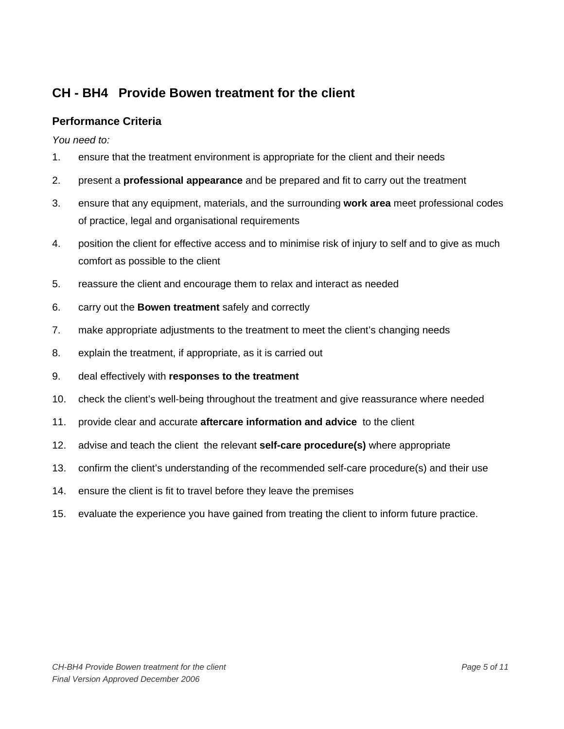# **Performance Criteria**

*You need to:* 

- 1. ensure that the treatment environment is appropriate for the client and their needs
- 2. present a **professional appearance** and be prepared and fit to carry out the treatment
- 3. ensure that any equipment, materials, and the surrounding **work area** meet professional codes of practice, legal and organisational requirements
- 4. position the client for effective access and to minimise risk of injury to self and to give as much comfort as possible to the client
- 5. reassure the client and encourage them to relax and interact as needed
- 6. carry out the **Bowen treatment** safely and correctly
- 7. make appropriate adjustments to the treatment to meet the client's changing needs
- 8. explain the treatment, if appropriate, as it is carried out
- 9. deal effectively with **responses to the treatment**
- 10. check the client's well-being throughout the treatment and give reassurance where needed
- 11. provide clear and accurate **aftercare information and advice** to the client
- 12. advise and teach the client the relevant **self-care procedure(s)** where appropriate
- 13. confirm the client's understanding of the recommended self-care procedure(s) and their use
- 14. ensure the client is fit to travel before they leave the premises
- 15. evaluate the experience you have gained from treating the client to inform future practice.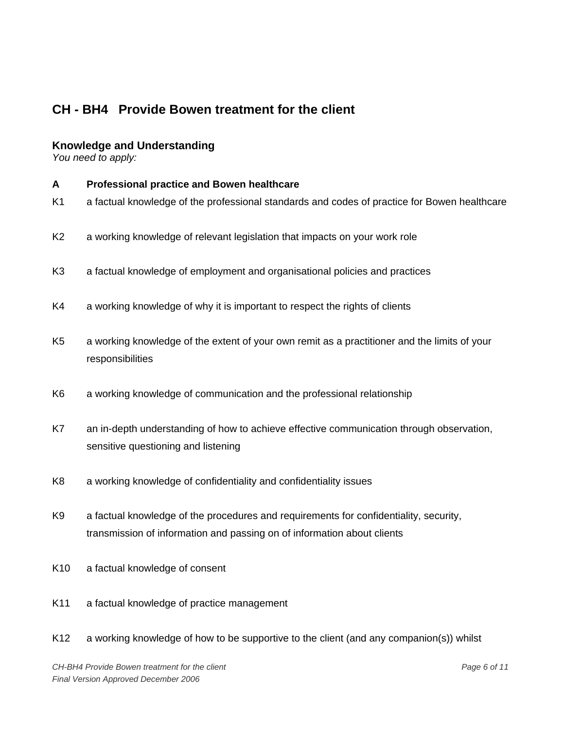# **Knowledge and Understanding**

*You need to apply:* 

- **A Professional practice and Bowen healthcare**
- K1 a factual knowledge of the professional standards and codes of practice for Bowen healthcare
- K2 a working knowledge of relevant legislation that impacts on your work role
- K3 a factual knowledge of employment and organisational policies and practices
- K4 a working knowledge of why it is important to respect the rights of clients
- K5 a working knowledge of the extent of your own remit as a practitioner and the limits of your responsibilities
- K6 a working knowledge of communication and the professional relationship
- K7 an in-depth understanding of how to achieve effective communication through observation, sensitive questioning and listening
- K8 a working knowledge of confidentiality and confidentiality issues
- K9 a factual knowledge of the procedures and requirements for confidentiality, security, transmission of information and passing on of information about clients
- K10 a factual knowledge of consent
- K11 a factual knowledge of practice management
- K12 a working knowledge of how to be supportive to the client (and any companion(s)) whilst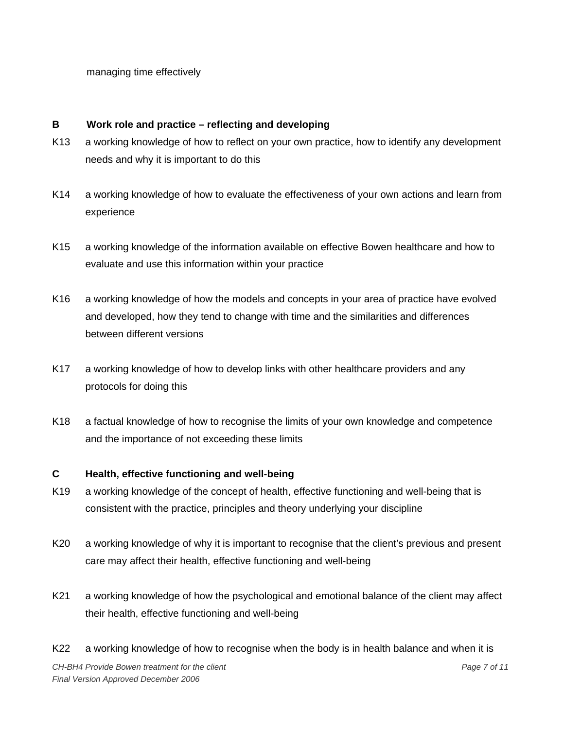managing time effectively

## **B Work role and practice – reflecting and developing**

- K13 a working knowledge of how to reflect on your own practice, how to identify any development needs and why it is important to do this
- K14 a working knowledge of how to evaluate the effectiveness of your own actions and learn from experience
- K15 a working knowledge of the information available on effective Bowen healthcare and how to evaluate and use this information within your practice
- K16 a working knowledge of how the models and concepts in your area of practice have evolved and developed, how they tend to change with time and the similarities and differences between different versions
- K17 a working knowledge of how to develop links with other healthcare providers and any protocols for doing this
- K18 a factual knowledge of how to recognise the limits of your own knowledge and competence and the importance of not exceeding these limits

## **C Health, effective functioning and well-being**

- K19 a working knowledge of the concept of health, effective functioning and well-being that is consistent with the practice, principles and theory underlying your discipline
- K20 a working knowledge of why it is important to recognise that the client's previous and present care may affect their health, effective functioning and well-being
- K21 a working knowledge of how the psychological and emotional balance of the client may affect their health, effective functioning and well-being
- K22 a working knowledge of how to recognise when the body is in health balance and when it is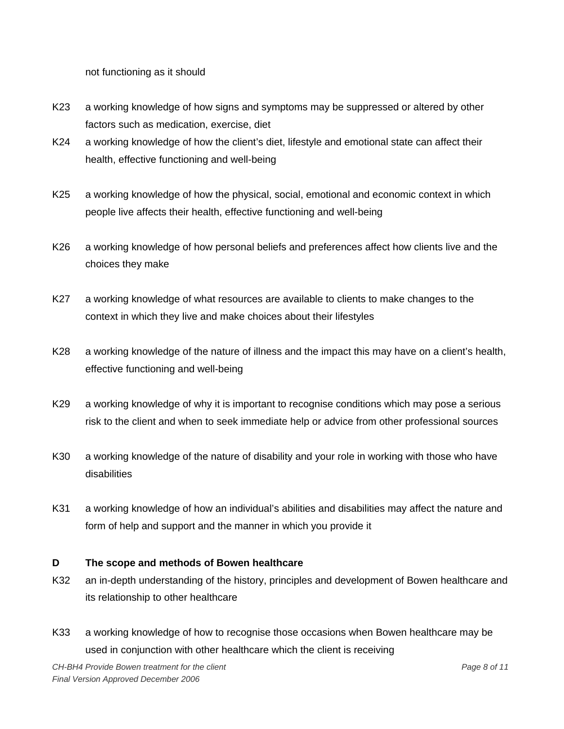not functioning as it should

- K23 a working knowledge of how signs and symptoms may be suppressed or altered by other factors such as medication, exercise, diet
- K24 a working knowledge of how the client's diet, lifestyle and emotional state can affect their health, effective functioning and well-being
- K25 a working knowledge of how the physical, social, emotional and economic context in which people live affects their health, effective functioning and well-being
- K26 a working knowledge of how personal beliefs and preferences affect how clients live and the choices they make
- K27 a working knowledge of what resources are available to clients to make changes to the context in which they live and make choices about their lifestyles
- K28 a working knowledge of the nature of illness and the impact this may have on a client's health, effective functioning and well-being
- K29 a working knowledge of why it is important to recognise conditions which may pose a serious risk to the client and when to seek immediate help or advice from other professional sources
- K30 a working knowledge of the nature of disability and your role in working with those who have disabilities
- K31 a working knowledge of how an individual's abilities and disabilities may affect the nature and form of help and support and the manner in which you provide it

## **D The scope and methods of Bowen healthcare**

- K32 an in-depth understanding of the history, principles and development of Bowen healthcare and its relationship to other healthcare
- K33 a working knowledge of how to recognise those occasions when Bowen healthcare may be used in conjunction with other healthcare which the client is receiving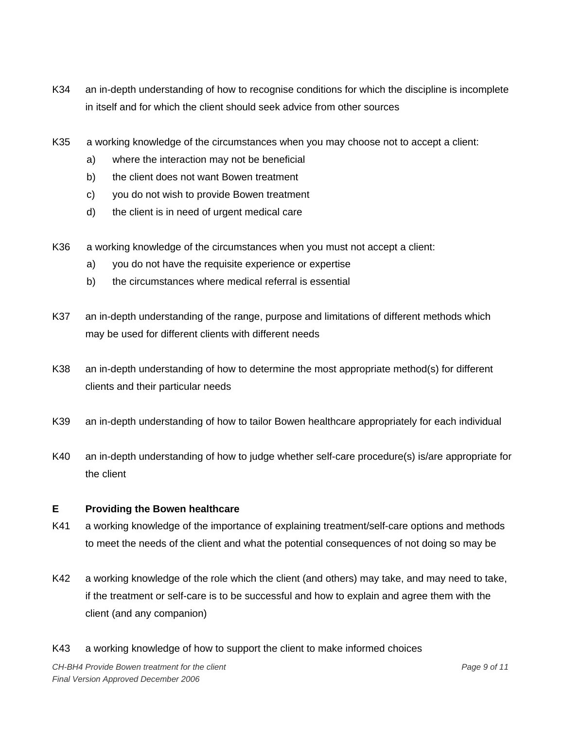- K34 an in-depth understanding of how to recognise conditions for which the discipline is incomplete in itself and for which the client should seek advice from other sources
- K35 a working knowledge of the circumstances when you may choose not to accept a client:
	- a) where the interaction may not be beneficial
	- b) the client does not want Bowen treatment
	- c) you do not wish to provide Bowen treatment
	- d) the client is in need of urgent medical care
- K36 a working knowledge of the circumstances when you must not accept a client:
	- a) you do not have the requisite experience or expertise
	- b) the circumstances where medical referral is essential
- K37 an in-depth understanding of the range, purpose and limitations of different methods which may be used for different clients with different needs
- K38 an in-depth understanding of how to determine the most appropriate method(s) for different clients and their particular needs
- K39 an in-depth understanding of how to tailor Bowen healthcare appropriately for each individual
- K40 an in-depth understanding of how to judge whether self-care procedure(s) is/are appropriate for the client

## **E Providing the Bowen healthcare**

- K41 a working knowledge of the importance of explaining treatment/self-care options and methods to meet the needs of the client and what the potential consequences of not doing so may be
- K42 a working knowledge of the role which the client (and others) may take, and may need to take, if the treatment or self-care is to be successful and how to explain and agree them with the client (and any companion)
- K43 a working knowledge of how to support the client to make informed choices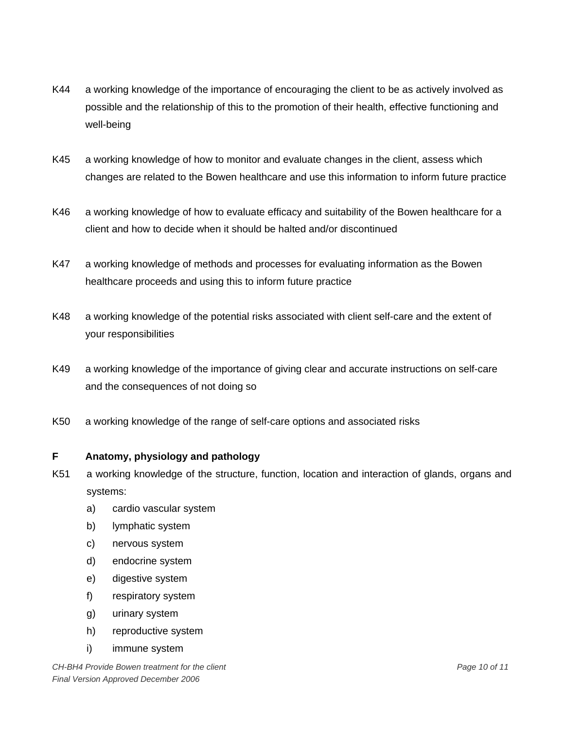- K44 a working knowledge of the importance of encouraging the client to be as actively involved as possible and the relationship of this to the promotion of their health, effective functioning and well-being
- K45 a working knowledge of how to monitor and evaluate changes in the client, assess which changes are related to the Bowen healthcare and use this information to inform future practice
- K46 a working knowledge of how to evaluate efficacy and suitability of the Bowen healthcare for a client and how to decide when it should be halted and/or discontinued
- K47 a working knowledge of methods and processes for evaluating information as the Bowen healthcare proceeds and using this to inform future practice
- K48 a working knowledge of the potential risks associated with client self-care and the extent of your responsibilities
- K49 a working knowledge of the importance of giving clear and accurate instructions on self-care and the consequences of not doing so
- K50 a working knowledge of the range of self-care options and associated risks

# **F Anatomy, physiology and pathology**

- K51 a working knowledge of the structure, function, location and interaction of glands, organs and systems:
	- a) cardio vascular system
	- b) lymphatic system
	- c) nervous system
	- d) endocrine system
	- e) digestive system
	- f) respiratory system
	- g) urinary system
	- h) reproductive system
	- i) immune system